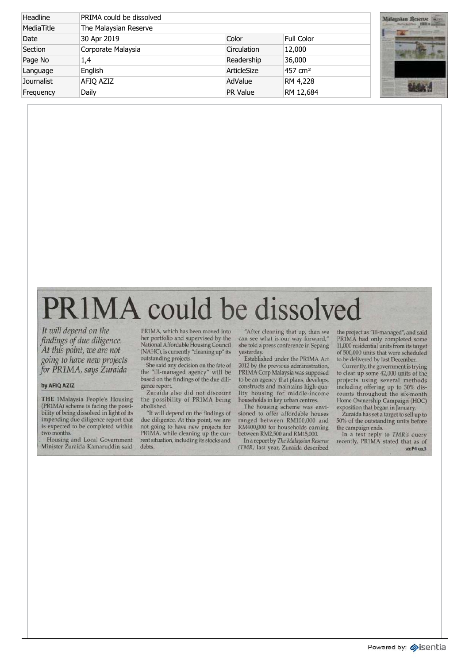| Headline          | PRIMA could be dissolved |             |                     | Malay          |
|-------------------|--------------------------|-------------|---------------------|----------------|
| MediaTitle        | The Malaysian Reserve    |             |                     |                |
| Date              | 30 Apr 2019              | Color       | <b>Full Color</b>   | <b>SECTION</b> |
| Section           | Corporate Malaysia       | Circulation | 12,000              |                |
| Page No           | 1,4                      | Readership  | 36,000              |                |
| Language          | English                  | ArticleSize | 457 cm <sup>2</sup> |                |
| <b>Journalist</b> | AFIQ AZIZ                | AdValue     | RM 4,228            |                |
| Frequency         | Daily                    | PR Value    | RM 12,684           |                |



## PR1MA could be dissolved

*It will depend on the findings of due diligence. At this point, we are not going to have new projects for PRIMA, says Zuraida* 

## **by AFIQ AZIZ**

**THE 1Malaysia People's Housing** (PRIMA ) schem e i s facin g th e possi bilit y of bein g dissolve d i n ligh t of its impendin g du e diligenc e repor t that i s expecte d t o b e complete d within tw o months.

Housing and Local Government Ministe r Zuraid a Kamaruddi n said

PRIMA , whic h ha s bee n move d into he r portfoli o an d supervise d b y the Nationa l Affordabl e Housin g Council (NAHC) , i s currentl y "cleanin g up " its outstandin g projects.

Sh e sai d an y decisio n o n th e fat e of th e "ill-manage d agency " wil l be base d o n th e finding s of th e du e dili genc e report.

Zuraida also did not discount<br>the possibility of PR1MA being abolished.

"I t wil l depen d o n th e finding s of due diligence. At this point, we are no t goin g t o hav e ne w project s for PR1MA, while cleaning up the curren t situation , includin g it s stock s and debts.

"Afte r cleanin g tha t up , the n we ca n se e wha t i s ou r wa y forward, " sh e tol d a pres s conferenc e i n Sepang yesterday.

Establishe d unde r th e PRIM A Act 201 2 b y th e previou s administration, PRIM A Cor p Malaysi a wa s supposed to be an agency that plans, develops, construct s an d maintain s high-qua lity housing for middle-income household s i n ke y urba n centres.

Th e housin g schem e wa s envi sioned to offer affordable houses ranged between RM100,000 and RM400,000 for households earning betwee n RM2,50 0 an d RM15,000.

I n a repor t b y *The Malaysian Reserve (TMR)* las t year , Zuraid a described

th e projec t a s "ill-managed" , an d said PRIM A ha d onl y complete d some 11,00 0 residentia l unit s fro m it s target of 500,00 0 unit s tha t wer e scheduled t o b e delivere d b y las t December.

Currently , th e governmen t i s trying to clear up some 42,000 units of the projects using several methods including offering up to 30% discount s throughou t th e six-month Hom e Ownershi p Campaig n (HOC) exposition that began in January.

Zuraida has set a target to sell up to 50 % of th e outstandin g unit s before th e campaig n ends.

In a text reply to TMR's query recently , PRIM A state d tha t a s of se e **P 4** col 3